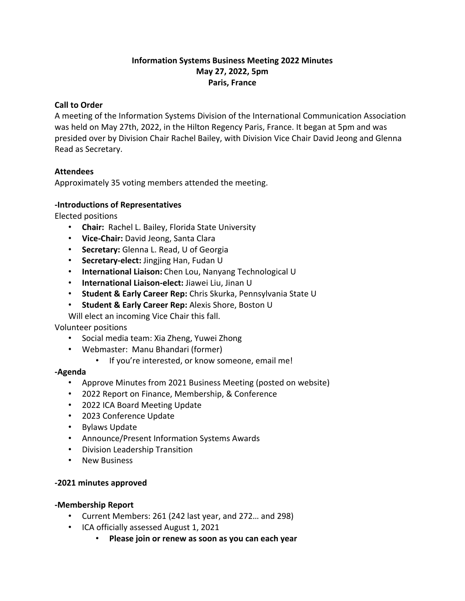## **Information Systems Business Meeting 2022 Minutes May 27, 2022, 5pm Paris, France**

### **Call to Order**

A meeting of the Information Systems Division of the International Communication Association was held on May 27th, 2022, in the Hilton Regency Paris, France. It began at 5pm and was presided over by Division Chair Rachel Bailey, with Division Vice Chair David Jeong and Glenna Read as Secretary.

## **Attendees**

Approximately 35 voting members attended the meeting.

### **-Introductions of Representatives**

Elected positions

- **Chair:** Rachel L. Bailey, Florida State University
- **Vice-Chair:** David Jeong, Santa Clara
- **Secretary:** Glenna L. Read, U of Georgia
- **Secretary-elect:** Jingjing Han, Fudan U
- **International Liaison:** Chen Lou, Nanyang Technological U
- **International Liaison-elect:** Jiawei Liu, Jinan U
- **Student & Early Career Rep:** Chris Skurka, Pennsylvania State U
- **Student & Early Career Rep:** Alexis Shore, Boston U

Will elect an incoming Vice Chair this fall.

### Volunteer positions

- Social media team: Xia Zheng, Yuwei Zhong
- Webmaster: Manu Bhandari (former)
	- If you're interested, or know someone, email me!

### **-Agenda**

- Approve Minutes from 2021 Business Meeting (posted on website)
- 2022 Report on Finance, Membership, & Conference
- 2022 ICA Board Meeting Update
- 2023 Conference Update
- Bylaws Update
- Announce/Present Information Systems Awards
- Division Leadership Transition
- New Business

### **-2021 minutes approved**

### **-Membership Report**

- Current Members: 261 (242 last year, and 272… and 298)
- ICA officially assessed August 1, 2021
	- **Please join or renew as soon as you can each year**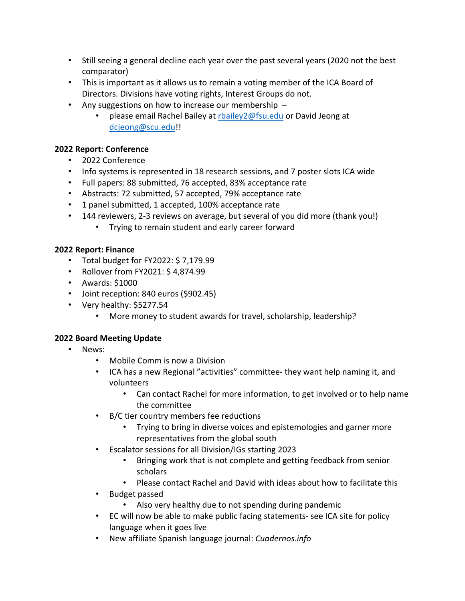- Still seeing a general decline each year over the past several years (2020 not the best comparator)
- This is important as it allows us to remain a voting member of the ICA Board of Directors. Divisions have voting rights, Interest Groups do not.
- Any suggestions on how to increase our membership
	- please email Rachel Bailey at rbailey2@fsu.edu or David Jeong at dcjeong@scu.edu!!

## **2022 Report: Conference**

- 2022 Conference
- Info systems is represented in 18 research sessions, and 7 poster slots ICA wide
- Full papers: 88 submitted, 76 accepted, 83% acceptance rate
- Abstracts: 72 submitted, 57 accepted, 79% acceptance rate
- 1 panel submitted, 1 accepted, 100% acceptance rate
- 144 reviewers, 2-3 reviews on average, but several of you did more (thank you!)
	- Trying to remain student and early career forward

## **2022 Report: Finance**

- Total budget for FY2022: \$ 7,179.99
- Rollover from FY2021: \$ 4,874.99
- Awards: \$1000
- Joint reception: 840 euros (\$902.45)
- Very healthy: \$5277.54
	- More money to student awards for travel, scholarship, leadership?

## **2022 Board Meeting Update**

- News:
	- Mobile Comm is now a Division
	- ICA has a new Regional "activities" committee- they want help naming it, and volunteers
		- Can contact Rachel for more information, to get involved or to help name the committee
	- B/C tier country members fee reductions
		- Trying to bring in diverse voices and epistemologies and garner more representatives from the global south
	- Escalator sessions for all Division/IGs starting 2023
		- Bringing work that is not complete and getting feedback from senior scholars
		- Please contact Rachel and David with ideas about how to facilitate this
	- Budget passed
		- Also very healthy due to not spending during pandemic
	- EC will now be able to make public facing statements- see ICA site for policy language when it goes live
	- New affiliate Spanish language journal: *Cuadernos.info*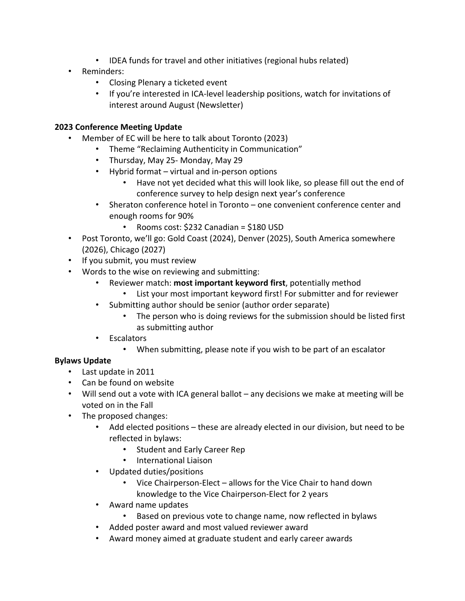- IDEA funds for travel and other initiatives (regional hubs related)
- Reminders:
	- Closing Plenary a ticketed event
	- If you're interested in ICA-level leadership positions, watch for invitations of interest around August (Newsletter)

## **2023 Conference Meeting Update**

- Member of EC will be here to talk about Toronto (2023)
	- Theme "Reclaiming Authenticity in Communication"
	- Thursday, May 25- Monday, May 29
	- Hybrid format virtual and in-person options
		- Have not yet decided what this will look like, so please fill out the end of conference survey to help design next year's conference
	- Sheraton conference hotel in Toronto one convenient conference center and enough rooms for 90%
		- Rooms cost: \$232 Canadian = \$180 USD
- Post Toronto, we'll go: Gold Coast (2024), Denver (2025), South America somewhere (2026), Chicago (2027)
- If you submit, you must review
- Words to the wise on reviewing and submitting:
	- Reviewer match: **most important keyword first**, potentially method
		- List your most important keyword first! For submitter and for reviewer
	- Submitting author should be senior (author order separate)
		- The person who is doing reviews for the submission should be listed first as submitting author
	- Escalators
		- When submitting, please note if you wish to be part of an escalator

## **Bylaws Update**

- Last update in 2011
- Can be found on website
- Will send out a vote with ICA general ballot any decisions we make at meeting will be voted on in the Fall
- The proposed changes:
	- Add elected positions these are already elected in our division, but need to be reflected in bylaws:
		- Student and Early Career Rep
		- International Liaison
	- Updated duties/positions
		- Vice Chairperson-Elect allows for the Vice Chair to hand down knowledge to the Vice Chairperson-Elect for 2 years
	- Award name updates
		- Based on previous vote to change name, now reflected in bylaws
	- Added poster award and most valued reviewer award
	- Award money aimed at graduate student and early career awards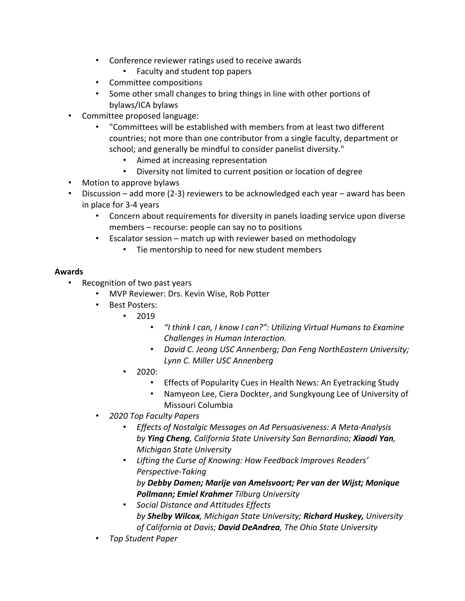- Conference reviewer ratings used to receive awards
	- Faculty and student top papers
- Committee compositions
- Some other small changes to bring things in line with other portions of bylaws/ICA bylaws
- Committee proposed language:
	- "Committees will be established with members from at least two different countries; not more than one contributor from a single faculty, department or school; and generally be mindful to consider panelist diversity."
		- Aimed at increasing representation
		- Diversity not limited to current position or location of degree
- Motion to approve bylaws
- Discussion add more (2-3) reviewers to be acknowledged each year award has been in place for 3-4 years
	- Concern about requirements for diversity in panels loading service upon diverse members – recourse: people can say no to positions
	- Escalator session match up with reviewer based on methodology
		- Tie mentorship to need for new student members

### **Awards**

- Recognition of two past years
	- MVP Reviewer: Drs. Kevin Wise, Rob Potter
	- Best Posters:
		- 2019
			- *"I think I can, I know I can?": Utilizing Virtual Humans to Examine Challenges in Human Interaction.*
			- *David C. Jeong USC Annenberg; Dan Feng NorthEastern University; Lynn C. Miller USC Annenberg*
		- 2020:
			- Effects of Popularity Cues in Health News: An Eyetracking Study
			- Namyeon Lee, Ciera Dockter, and Sungkyoung Lee of University of Missouri Columbia
	- *2020 Top Faculty Papers*
		- *Effects of Nostalgic Messages on Ad Persuasiveness: A Meta-Analysis by Ying Cheng, California State University San Bernardino; Xiaodi Yan, Michigan State University*
		- *Lifting the Curse of Knowing: How Feedback Improves Readers' Perspective-Taking by Debby Damen; Marije van Amelsvoort; Per van der Wijst; Monique Pollmann; Emiel Krahmer Tilburg University*
		- *Social Distance and Attitudes Effects by Shelby Wilcox, Michigan State University; Richard Huskey, University of California at Davis; David DeAndrea, The Ohio State University*
	- *Top Student Paper*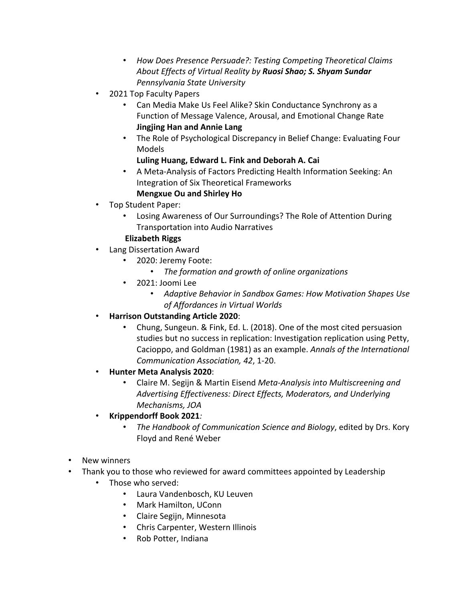- *How Does Presence Persuade?: Testing Competing Theoretical Claims About Effects of Virtual Reality by Ruosi Shao; S. Shyam Sundar Pennsylvania State University*
- 2021 Top Faculty Papers
	- Can Media Make Us Feel Alike? Skin Conductance Synchrony as a Function of Message Valence, Arousal, and Emotional Change Rate **Jingjing Han and Annie Lang**
	- The Role of Psychological Discrepancy in Belief Change: Evaluating Four Models

# **Luling Huang, Edward L. Fink and Deborah A. Cai**

• A Meta-Analysis of Factors Predicting Health Information Seeking: An Integration of Six Theoretical Frameworks

## **Mengxue Ou and Shirley Ho**

- Top Student Paper:
	- Losing Awareness of Our Surroundings? The Role of Attention During Transportation into Audio Narratives

## **Elizabeth Riggs**

- Lang Dissertation Award
	- 2020: Jeremy Foote:
		- *The formation and growth of online organizations*
	- 2021: Joomi Lee
		- *Adaptive Behavior in Sandbox Games: How Motivation Shapes Use of Affordances in Virtual Worlds*
- **Harrison Outstanding Article 2020**:
	- Chung, Sungeun. & Fink, Ed. L. (2018). One of the most cited persuasion studies but no success in replication: Investigation replication using Petty, Cacioppo, and Goldman (1981) as an example. *Annals of the International Communication Association, 42*, 1-20.
- **Hunter Meta Analysis 2020**:
	- Claire M. Segijn & Martin Eisend *Meta-Analysis into Multiscreening and Advertising Effectiveness: Direct Effects, Moderators, and Underlying Mechanisms, JOA*
- **Krippendorff Book 2021***:* 
	- *The Handbook of Communication Science and Biology*, edited by Drs. Kory Floyd and René Weber
- New winners
- Thank you to those who reviewed for award committees appointed by Leadership
	- Those who served:
		- Laura Vandenbosch, KU Leuven
		- Mark Hamilton, UConn
		- Claire Segijn, Minnesota
		- Chris Carpenter, Western Illinois
		- Rob Potter, Indiana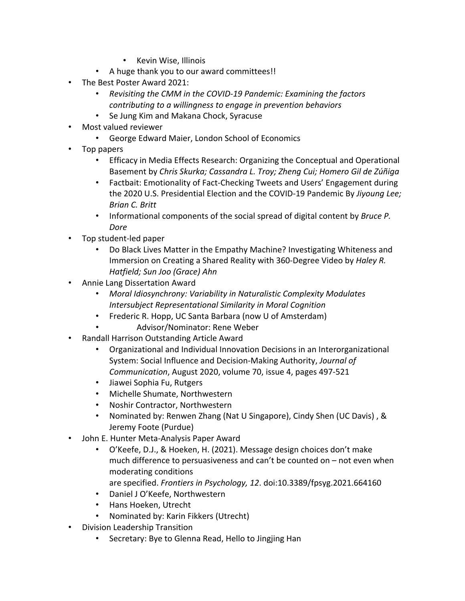- Kevin Wise, Illinois
- A huge thank you to our award committees!!
- The Best Poster Award 2021:
	- *Revisiting the CMM in the COVID-19 Pandemic: Examining the factors contributing to a willingness to engage in prevention behaviors*
	- Se Jung Kim and Makana Chock, Syracuse
- Most valued reviewer
	- George Edward Maier, London School of Economics
- Top papers
	- Efficacy in Media Effects Research: Organizing the Conceptual and Operational Basement by *Chris Skurka; Cassandra L. Troy; Zheng Cui; Homero Gil de Zúñiga*
	- Factbait: Emotionality of Fact-Checking Tweets and Users' Engagement during the 2020 U.S. Presidential Election and the COVID-19 Pandemic By *Jiyoung Lee; Brian C. Britt*
	- Informational components of the social spread of digital content by *Bruce P. Dore*
- Top student-led paper
	- Do Black Lives Matter in the Empathy Machine? Investigating Whiteness and Immersion on Creating a Shared Reality with 360-Degree Video by *Haley R. Hatfield; Sun Joo (Grace) Ahn*
- Annie Lang Dissertation Award
	- *Moral Idiosynchrony: Variability in Naturalistic Complexity Modulates Intersubject Representational Similarity in Moral Cognition*
	- Frederic R. Hopp, UC Santa Barbara (now U of Amsterdam)
		- Advisor/Nominator: Rene Weber
- Randall Harrison Outstanding Article Award
	- Organizational and Individual Innovation Decisions in an Interorganizational System: Social Influence and Decision-Making Authority, *Journal of Communication*, August 2020, volume 70, issue 4, pages 497-521
	- Jiawei Sophia Fu, Rutgers
	- Michelle Shumate, Northwestern
	- Noshir Contractor, Northwestern
	- Nominated by: Renwen Zhang (Nat U Singapore), Cindy Shen (UC Davis) , & Jeremy Foote (Purdue)
- John E. Hunter Meta-Analysis Paper Award
	- O'Keefe, D.J., & Hoeken, H. (2021). Message design choices don't make much difference to persuasiveness and can't be counted on – not even when moderating conditions
		- are specified. *Frontiers in Psychology, 12*. doi:10.3389/fpsyg.2021.664160
	- Daniel J O'Keefe, Northwestern
	- Hans Hoeken, Utrecht
	- Nominated by: Karin Fikkers (Utrecht)
- Division Leadership Transition
	- Secretary: Bye to Glenna Read, Hello to Jingjing Han